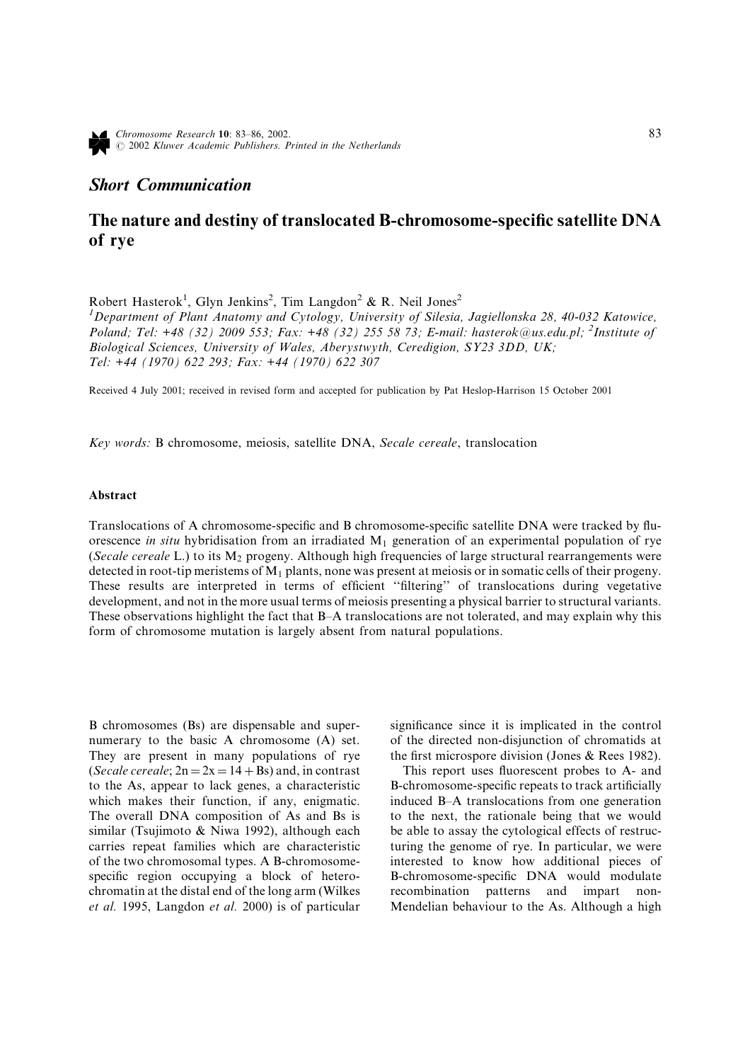# **Short Communication**

# The nature and destiny of translocated B-chromosome-specific satellite DNA of rye

Robert Hasterok<sup>1</sup>, Glyn Jenkins<sup>2</sup>, Tim Langdon<sup>2</sup> & R. Neil Jones<sup>2</sup>

<sup>1</sup>Department of Plant Anatomy and Cytology, University of Silesia, Jagiellonska 28, 40-032 Katowice, Poland; Tel: +48 (32) 2009 553; Fax: +48 (32) 255 58 73; E-mail: hasterok@us.edu.pl; <sup>2</sup>Institute of Biological Sciences, University of Wales, Aberystwyth, Ceredigion, SY23 3DD, UK; Tel: +44 (1970) 622 293; Fax: +44 (1970) 622 307

Received 4 July 2001; received in revised form and accepted for publication by Pat Heslop-Harrison 15 October 2001

Key words: B chromosome, meiosis, satellite DNA, Secale cereale, translocation

## Abstract

Translocations of A chromosome-specific and B chromosome-specific satellite DNA were tracked by fluorescence in situ hybridisation from an irradiated  $M_1$  generation of an experimental population of rye (Secale cereale L.) to its  $M_2$  progeny. Although high frequencies of large structural rearrangements were detected in root-tip meristems of  $M_1$  plants, none was present at meiosis or in somatic cells of their progeny. These results are interpreted in terms of efficient "filtering" of translocations during vegetative development, and not in the more usual terms of meiosis presenting a physical barrier to structural variants. These observations highlight the fact that B-A translocations are not tolerated, and may explain why this form of chromosome mutation is largely absent from natural populations.

B chromosomes (Bs) are dispensable and supernumerary to the basic A chromosome (A) set. They are present in many populations of rye (*Secale cereale*;  $2n = 2x = 14 + Bs$ ) and, in contrast to the As, appear to lack genes, a characteristic which makes their function, if any, enigmatic. The overall DNA composition of As and Bs is similar (Tsujimoto & Niwa 1992), although each carries repeat families which are characteristic of the two chromosomal types. A B-chromosomespecific region occupying a block of heterochromatin at the distal end of the long arm (Wilkes et al. 1995, Langdon et al. 2000) is of particular significance since it is implicated in the control of the directed non-disjunction of chromatids at the first microspore division (Jones  $& Rees$  1982).

This report uses fluorescent probes to A- and B-chromosome-specific repeats to track artificially induced B-A translocations from one generation to the next, the rationale being that we would be able to assay the cytological effects of restructuring the genome of rye. In particular, we were interested to know how additional pieces of B-chromosome-specific DNA would modulate recombination patterns and impart non-Mendelian behaviour to the As. Although a high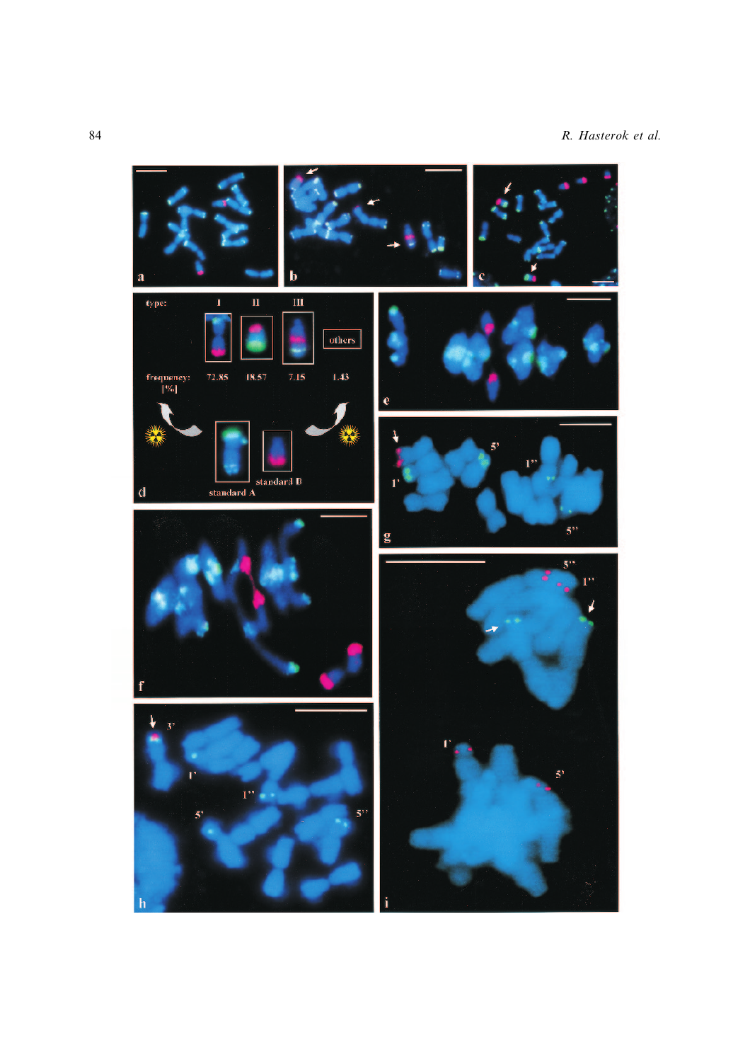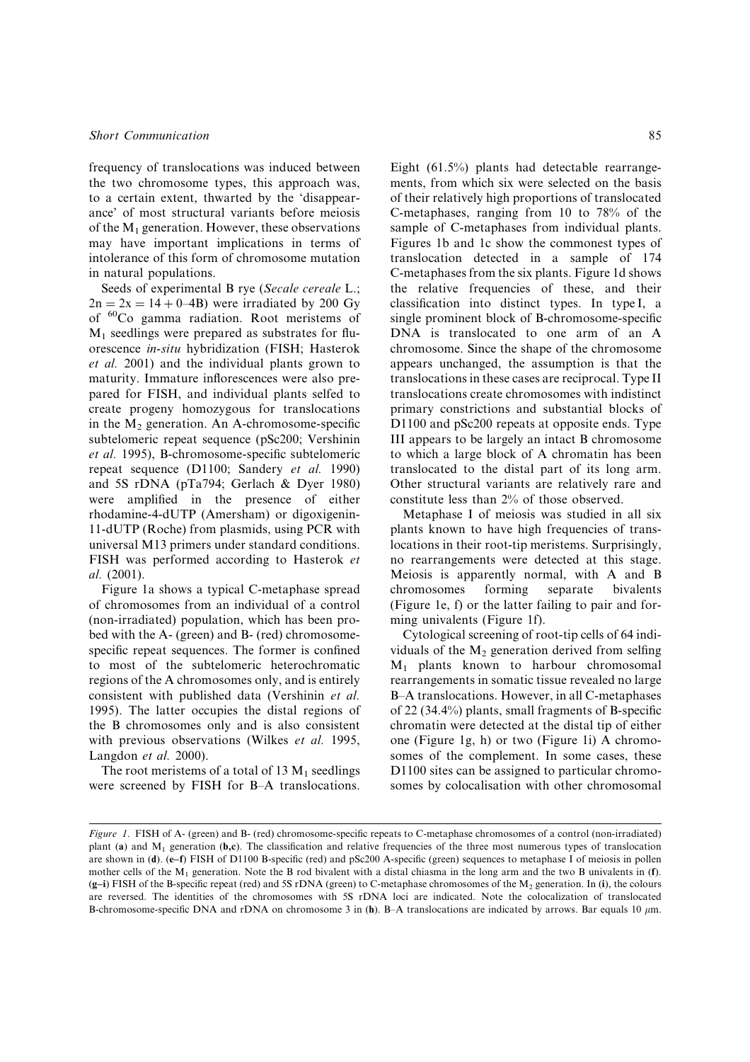### **Short Communication**

frequency of translocations was induced between the two chromosome types, this approach was, to a certain extent, thwarted by the 'disappearance' of most structural variants before meiosis of the  $M_1$  generation. However, these observations may have important implications in terms of intolerance of this form of chromosome mutation in natural populations.

Seeds of experimental B rye (Secale cereale L.;  $2n = 2x = 14 + 0$ -4B) were irradiated by 200 Gy of <sup>60</sup>Co gamma radiation. Root meristems of  $M_1$  seedlings were prepared as substrates for fluorescence in-situ hybridization (FISH; Hasterok et al. 2001) and the individual plants grown to maturity. Immature inflorescences were also prepared for FISH, and individual plants selfed to create progeny homozygous for translocations in the  $M_2$  generation. An A-chromosome-specific subtelomeric repeat sequence (pSc200; Vershinin et al. 1995), B-chromosome-specific subtelomeric repeat sequence (D1100; Sandery *et al.* 1990) and 5S rDNA (pTa794; Gerlach & Dyer 1980) were amplified in the presence of either rhodamine-4-dUTP (Amersham) or digoxigenin-11-dUTP (Roche) from plasmids, using PCR with universal M13 primers under standard conditions. FISH was performed according to Hasterok et al.  $(2001)$ .

Figure 1a shows a typical C-metaphase spread of chromosomes from an individual of a control (non-irradiated) population, which has been probed with the A- (green) and B- (red) chromosomespecific repeat sequences. The former is confined to most of the subtelomeric heterochromatic regions of the A chromosomes only, and is entirely consistent with published data (Vershinin et al. 1995). The latter occupies the distal regions of the B chromosomes only and is also consistent with previous observations (Wilkes et al. 1995, Langdon et al. 2000).

The root meristems of a total of 13  $M_1$  seedlings were screened by FISH for B-A translocations.

Eight  $(61.5\%)$  plants had detectable rearrangements, from which six were selected on the basis of their relatively high proportions of translocated C-metaphases, ranging from 10 to 78% of the sample of C-metaphases from individual plants. Figures 1b and 1c show the commonest types of translocation detected in a sample of 174 C-metaphases from the six plants. Figure 1d shows the relative frequencies of these, and their classification into distinct types. In type I, a single prominent block of B-chromosome-specific DNA is translocated to one arm of an A chromosome. Since the shape of the chromosome appears unchanged, the assumption is that the translocations in these cases are reciprocal. Type II translocations create chromosomes with indistinct primary constrictions and substantial blocks of D1100 and pSc200 repeats at opposite ends. Type III appears to be largely an intact B chromosome to which a large block of A chromatin has been translocated to the distal part of its long arm. Other structural variants are relatively rare and constitute less than 2% of those observed.

Metaphase I of meiosis was studied in all six plants known to have high frequencies of translocations in their root-tip meristems. Surprisingly, no rearrangements were detected at this stage. Meiosis is apparently normal, with A and B chromosomes forming separate bivalents (Figure 1e, f) or the latter failing to pair and forming univalents (Figure 1f).

Cytological screening of root-tip cells of 64 individuals of the  $M_2$  generation derived from selfing  $M_1$  plants known to harbour chromosomal rearrangements in somatic tissue revealed no large B-A translocations. However, in all C-metaphases of 22 (34.4%) plants, small fragments of B-specific chromatin were detected at the distal tip of either one (Figure 1g, h) or two (Figure 1i) A chromosomes of the complement. In some cases, these D1100 sites can be assigned to particular chromosomes by colocalisation with other chromosomal

Figure 1. FISH of A- (green) and B- (red) chromosome-specific repeats to C-metaphase chromosomes of a control (non-irradiated) plant (a) and  $M_1$  generation (b,c). The classification and relative frequencies of the three most numerous types of translocation are shown in (d). (e-f) FISH of D1100 B-specific (red) and pSc200 A-specific (green) sequences to metaphase I of meiosis in pollen mother cells of the  $M_1$  generation. Note the B rod bivalent with a distal chiasma in the long arm and the two B univalents in (f).  $(g-i)$  FISH of the B-specific repeat (red) and 5S rDNA (green) to C-metaphase chromosomes of the  $M_2$  generation. In (i), the colours are reversed. The identities of the chromosomes with 5S rDNA loci are indicated. Note the colocalization of translocated B-chromosome-specific DNA and rDNA on chromosome 3 in (h). B-A translocations are indicated by arrows. Bar equals 10  $\mu$ m.